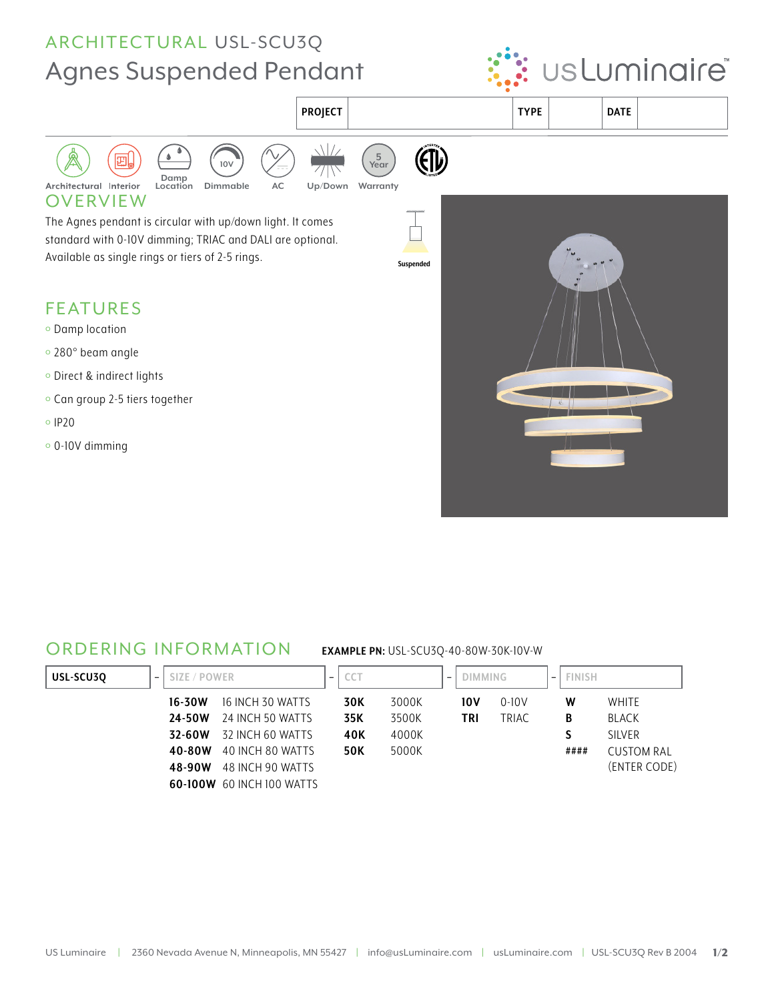# ARCHITECTURAL USL-SCU3Q **Agnes Suspended Pendant**





### **ORDERING INFORMATION**

#### **EXAMPLE PN: USL-SCU3Q-40-80W-30K-10V-W**

| USL-SCU30<br>$\overline{\phantom{a}}$ | SIZE / POWER |                                  | $\overline{\phantom{a}}$ | $\sim$ $\sim$ $\sim$<br>CC I |       | $\overline{\phantom{a}}$ | <b>DIMMING</b> |           | $\overline{\phantom{a}}$ | <b>FINISH</b> |                   |
|---------------------------------------|--------------|----------------------------------|--------------------------|------------------------------|-------|--------------------------|----------------|-----------|--------------------------|---------------|-------------------|
|                                       | 16-30W       | 16 INCH 30 WATTS                 |                          | 30K                          | 3000K |                          | 10 V           | $0 - 10V$ |                          | W             | <b>WHITE</b>      |
|                                       | 24-50W       | 24 INCH 50 WATTS                 |                          | 35K                          | 3500K |                          | <b>TRI</b>     | TRIAC     |                          | В             | <b>BLACK</b>      |
|                                       | 32-60W       | 32 INCH 60 WATTS                 |                          | 40K                          | 4000K |                          |                |           |                          |               | <b>SILVER</b>     |
|                                       | 40-80W       | 40 INCH 80 WATTS                 |                          | <b>50K</b>                   | 5000K |                          |                |           |                          | ####          | <b>CUSTOM RAL</b> |
|                                       | 48-90W       | 48 INCH 90 WATTS                 |                          |                              |       |                          |                |           |                          |               | (ENTER CODE)      |
|                                       |              | <b>60-100W</b> 60 INCH 100 WATTS |                          |                              |       |                          |                |           |                          |               |                   |